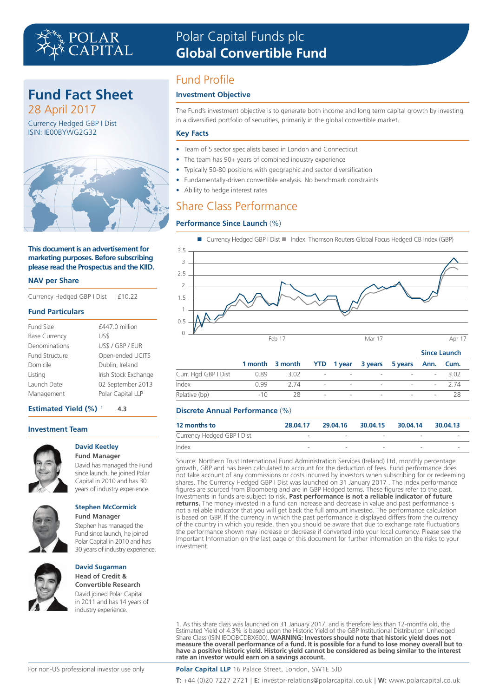# POLAR<br>Capital

# **Fund Fact Sheet**

28 April 2017 Currency Hedged GBP I Dist ISIN: IE00BYWG2G32



#### **This document is an advertisement for marketing purposes. Before subscribing please read the Prospectus and the KIID.**

#### **NAV per Share**

Currency Hedged GBP I Dist £10.22

#### **Fund Particulars**

| Open-ended UCITS     |
|----------------------|
|                      |
| Irish Stock Exchange |
| 02 September 2013    |
| Polar Capital LLP    |
| US\$ / GBP / EUR     |

#### **Estimated Yield (%)**<sup>1</sup> **4.3**

#### **Investment Team**



#### **David Keetley Fund Manager**

David has managed the Fund since launch, he joined Polar Capital in 2010 and has 30 years of industry experience.



**Fund Manager**  Stephen has managed the Fund since launch, he joined Polar Capital in 2010 and has 30 years of industry experience.

**Stephen McCormick**



### **David Sugarman Head of Credit &**

**Convertible Research** David joined Polar Capital in 2011 and has 14 years of industry experience.

# Polar Capital Funds plc **Global Convertible Fund**

# Fund Profile

### **Investment Objective**

The Fund's investment objective is to generate both income and long term capital growth by investing in a diversified portfolio of securities, primarily in the global convertible market.

### **Key Facts**

- Team of 5 sector specialists based in London and Connecticut
- The team has 90+ years of combined industry experience
- Typically 50‑80 positions with geographic and sector diversification
- Fundamentally-driven convertible analysis. No benchmark constraints
- Ability to hedge interest rates

# Share Class Performance

### **Performance Since Launch** (%)





|               |             | 1 month 3 month YTD 1 year 3 years 5 years Ann. Cum. |  |                     |  |  |
|---------------|-------------|------------------------------------------------------|--|---------------------|--|--|
|               |             |                                                      |  |                     |  |  |
| Index         |             | $0.99$ 2.74 - - - - - - 2.74                         |  |                     |  |  |
| Relative (bp) | $-10$ $-10$ |                                                      |  | 28 - - - - - - - 28 |  |  |

#### **Discrete Annual Performance** (%)

| 12 months to               | 28.04.17 | 29.04.16                 | 30.04.15 30.04.14 |   | 30.04.13 |
|----------------------------|----------|--------------------------|-------------------|---|----------|
| Currency Hedged GBP I Dist | -        | $\overline{\phantom{a}}$ |                   | - |          |
| Index                      |          |                          |                   | - |          |

Source: Northern Trust International Fund Administration Services (Ireland) Ltd, monthly percentage growth, GBP and has been calculated to account for the deduction of fees. Fund performance does not take account of any commissions or costs incurred by investors when subscribing for or redeeming shares. The Currency Hedged GBP I Dist was launched on 31 January 2017 . The index performance figures are sourced from Bloomberg and are in GBP Hedged terms. These figures refer to the past. Investments in funds are subject to risk. **Past performance is not a reliable indicator of future returns.** The money invested in a fund can increase and decrease in value and past performance is not a reliable indicator that you will get back the full amount invested. The performance calculation is based on GBP. If the currency in which the past performance is displayed differs from the currency of the country in which you reside, then you should be aware that due to exchange rate fluctuations the performance shown may increase or decrease if converted into your local currency. Please see the Important Information on the last page of this document for further information on the risks to your investment.

1. As this share class was launched on 31 January 2017, and is therefore less than 12-months old, the Estimated Yield of 4.3% is based upon the Historic Yield of the GBP Institutional Distribution Unhedged<br>Share Class (ISIN IEOOBCDBX600). **WARNING: Investors should note that historic yield does not**<br>measure the overall per **rate an investor would earn on a savings account.**

**Polar Capital LLP** 16 Palace Street, London, SW1E 5JD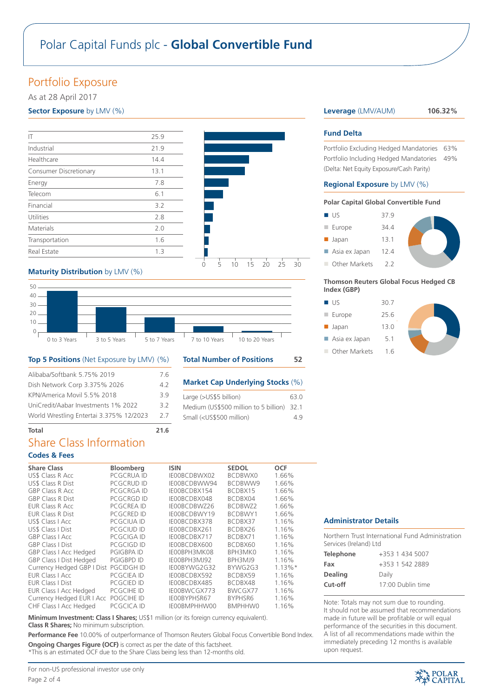# Polar Capital Funds plc - **Global Convertible Fund**

# Portfolio Exposure

As at 28 April 2017

### **Sector Exposure** by LMV (%)

| ΙT                     | 25.9 |
|------------------------|------|
| Industrial             | 21.9 |
| Healthcare             | 14.4 |
| Consumer Discretionary | 13.1 |
| Energy                 | 7.8  |
| Telecom                | 6.1  |
| Financial              | 3.2  |
| Utilities              | 2.8  |
| Materials              | 2.0  |
| Transportation         | 1.6  |
| Real Estate            | 1.3  |
|                        |      |



### **Maturity Distribution** by LMV (%)



#### **Top 5 Positions** (Net Exposure by LMV) (%)

| Alibaba/Softbank 5.75% 2019             | 76  |
|-----------------------------------------|-----|
| Dish Network Corp 3.375% 2026           | 42  |
| KPN/America Movil 5.5% 2018             | 39  |
| UniCredit/Aabar Investments 1% 2022     | 32  |
| World Wrestling Entertai 3.375% 12/2023 | 2.7 |
|                                         |     |

### **Total Number of Positions 52**

#### **Market Cap Underlying Stocks** (%)

| Large (>US\$5 billion)                                    | 63.0 |
|-----------------------------------------------------------|------|
| Medium (US\$500 million to 5 billion) 32.1                |      |
| Small ( <us\$500 million)<="" td=""><td>49</td></us\$500> | 49   |

### **Leverage** (LMV/AUM) **106.32%**

#### **Fund Delta**

Portfolio Excluding Hedged Mandatories 63% Portfolio Including Hedged Mandatories 49% (Delta: Net Equity Exposure/Cash Parity)

#### **Regional Exposure** by LMV (%)

#### **Polar Capital Global Convertible Fund**

| ■ US                  | 379  |
|-----------------------|------|
| $\blacksquare$ Europe | 34 4 |
| $\blacksquare$ Japan  | 13.1 |

Asia ex Japan 12.4

Other Markets 2.2

#### **Thomson Reuters Global Focus Hedged CB Index (GBP)**

 $\blacksquare$  US 30.7

■ Europe 25.6 **n** Japan 13.0

Asia ex Japan 5.1

Other Markets 1.6



Northern Trust International Fund Administration Services (Ireland) Ltd

**Administrator Details**

| <b>Telephone</b> | +353 1 434 5007   |
|------------------|-------------------|
| Fax              | +353 1 542 2889   |
| <b>Dealing</b>   | Daily             |
| Cut-off          | 17:00 Dublin time |
|                  |                   |

Note: Totals may not sum due to rounding. It should not be assumed that recommendations made in future will be profitable or will equal performance of the securities in this document. A list of all recommendations made within the immediately preceding 12 months is available upon request.

### **Total 21.6** Share Class Information

### **Codes & Fees**

| <b>Share Class</b>                    | <b>Bloomberg</b>  | <b>ISIN</b>  | <b>SEDOL</b>   | <b>OCF</b> |
|---------------------------------------|-------------------|--------------|----------------|------------|
| US\$ Class R Acc                      | PCGCRUA ID        | IE00BCDBWX02 | BCDBWX0        | 1.66%      |
| US\$ Class R Dist                     | <b>PCGCRUD ID</b> | IE00BCDBWW94 | BCDBWW9        | 1.66%      |
| <b>GBP Class R Acc</b>                | PCGCRGA ID        | IE00BCDBX154 | BCDBX15        | 1.66%      |
| <b>GBP Class R Dist</b>               | <b>PCGCRGD ID</b> | IE00BCDBX048 | BCDBX04        | 1.66%      |
| EUR Class R Acc                       | <b>PCGCREA ID</b> | IE00BCDBWZ26 | BCDBWZ2        | 1.66%      |
| <b>EUR Class R Dist</b>               | <b>PCGCRED ID</b> | IE00BCDBWY19 | <b>BCDBWY1</b> | 1.66%      |
| US\$ Class   Acc                      | PCGCIUA ID        | IE00BCDBX378 | BCDBX37        | 1.16%      |
| US\$ Class   Dist                     | PCGCIUD ID        | IE00BCDBX261 | BCDBX26        | 1.16%      |
| <b>GBP Class I Acc</b>                | PCGCIGA ID        | IEOOBCDBX717 | BCDBX71        | 1.16%      |
| <b>GBP Class I Dist</b>               | PCGCIGD ID        | IE00BCDBX600 | BCDBX60        | 1.16%      |
| <b>GBP Class I Acc Hedged</b>         | <b>PGIGBPA ID</b> | IE00BPH3MK08 | BPH3MK0        | 1.16%      |
| <b>GBP Class I Dist Hedged</b>        | <b>PGIGBPD ID</b> | IE00BPH3MJ92 | BPH3MJ9        | 1.16%      |
| Currency Hedged GBP I Dist PGCIDGH ID |                   | IE00BYWG2G32 | BYWG2G3        | $1.13\%*$  |
| <b>EUR Class   Acc.</b>               | <b>PCGCIEA ID</b> | IEOOBCDBX592 | BCDBX59        | 1.16%      |
| <b>EUR Class I Dist</b>               | <b>PCGCIED ID</b> | IEOOBCDBX485 | BCDBX48        | 1.16%      |
| EUR Class I Acc Hedged                | <b>PCGCIHE ID</b> | IE00BWCGX773 | BWCGX77        | 1.16%      |
| Currency Hedged EUR I Acc             | POGCIHE ID        | IEOOBYPHSR67 | BYPHSR6        | 1.16%      |
| CHF Class I Acc Hedged                | PCGCICA ID        | IE00BMPHHW00 | <b>BMPHHW0</b> | 1.16%      |

**Minimum Investment: Class I Shares;** US\$1 million (or its foreign currency equivalent). **Class R Shares;** No minimum subscription.

**Performance Fee** 10.00% of outperformance of Thomson Reuters Global Focus Convertible Bond Index. **Ongoing Charges Figure (OCF)** is correct as per the date of this factsheet.

\*This is an estimated OCF due to the Share Class being less than 12-months old.

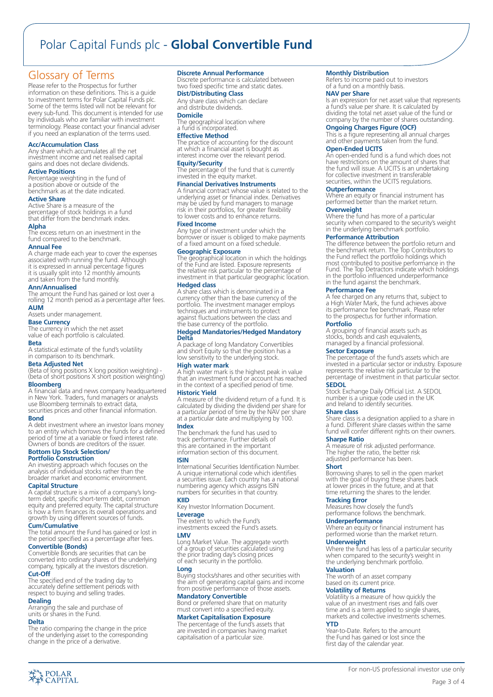# Polar Capital Funds plc - **Global Convertible Fund**

# Glossary of Terms

Please refer to the Prospectus for further information on these definitions. This is a guide to investment terms for Polar Capital Funds plc. Some of the terms listed will not be relevant for every sub-fund. This document is intended for use by individuals who are familiar with investment terminology. Please contact your financial adviser if you need an explanation of the terms used.

#### **Acc/Accumulation Class**

Any share which accumulates all the net investment income and net realised capital gains and does not declare dividends.

### **Active Positions**

Percentage weighting in the fund of a position above or outside of the benchmark as at the date indicated.

#### **Active Share**

Active Share is a measure of the percentage of stock holdings in a fund that differ from the benchmark index.

#### **Alpha**

The excess return on an investment in the fund compared to the benchmark.

#### **Annual Fee**

A charge made each year to cover the expenses associated with running the fund. Although it is expressed in annual percentage figures it is usually split into 12 monthly amounts and taken from the fund monthly.

#### **Ann/Annualised**

The amount the Fund has gained or lost over a rolling 12 month period as a percentage after fees. **AUM**

Assets under management.

**Base Currency** The currency in which the net asset value of each portfolio is calculated.

#### **Beta**

A statistical estimate of the fund's volatility in comparison to its benchmark.

#### **Beta Adjusted Net**

(Beta of long positions X long position weighting) - (beta of short positions X short position weighting)

### **Bloomberg**

A financial data and news company headquartered in New York. Traders, fund managers or analysts use Bloomberg terminals to extract data securities prices and other financial information.

#### **Bond**

A debt investment where an investor loans money to an entity which borrows the funds for a defined period of time at a variable or fixed interest rate. Owners of bonds are creditors of the issuer.

#### **Bottom Up Stock Selection/ Portfolio Construction**

An investing approach which focuses on the analysis of individual stocks rather than the broader market and economic environment.

**Capital Structure**<br>A capital structure is a mix of a company's longterm debt, specific short-term debt, common equity and preferred equity. The capital structure is how a firm finances its overall operations and growth by using different sources of funds.

### **Cum/Cumulative**

The total amount the Fund has gained or lost in the period specified as a percentage after fees.

**Convertible (Bonds)** Convertible Bonds are securities that can be converted into ordinary shares of the underlying company, typically at the investors discretion.

#### **Cut-Off**

The specified end of the trading day to accurately define settlement periods with respect to buying and selling trades.

### **Dealing**

Arranging the sale and purchase of units or shares in the Fund.

#### **Delta**

、<br>イベ POLAR<br>イベ CAPITAL

The ratio comparing the change in the price of the underlying asset to the corresponding change in the price of a derivative.

#### **Discrete Annual Performance**

Discrete performance is calculated between two fixed specific time and static dates.

#### **Dist/Distributing Class**

Any share class which can declare and distribute dividends. **Domicile**

The geographical location where a fund is incorporated.

#### **Effective Method**

The practice of accounting for the discount at which a financial asset is bought as interest income over the relevant period.

**Equity/Security** The percentage of the fund that is currently invested in the equity market.

#### **Financial Derivatives Instruments**

A financial contract whose value is related to the underlying asset or financial index. Derivatives may be used by fund managers to manage risk in their portfolios, for greater flexibility to lower costs and to enhance returns.

#### **Fixed Income**

Any type of investment under which the borrower or issuer is obliged to make payments of a fixed amount on a fixed schedule.

**Geographic Exposure** The geographical location in which the holdings of the Fund are listed. Exposure represents the relative risk particular to the percentage of investment in that particular geographic location. **Hedged class**

A share class which is denominated in a currency other than the base currency of the portfolio. The investment manager employs techniques and instruments to protect against fluctuations between the class and the base currency of the portfolio.

#### **Hedged Mandatories/Hedged Mandatory Delta**

A package of long Mandatory Convertibles and short Equity so that the position has a low sensitivity to the underlying stock.

**High water mark** A high water mark is the highest peak in value that an investment fund or account has reached in the context of a specified period of time.

#### **Historic Yield**

A measure of the dividend return of a fund. It is calculated by dividing the dividend per share for a particular period of time by the NAV per share at a particular date and multiplying by 100.

**Index**

The benchmark the fund has used to track performance. Further details of this are contained in the important information section of this document.

#### **ISIN**

International Securities Identification Number. A unique international code which identifies a securities issue. Each country has a national numbering agency which assigns ISIN numbers for securities in that country.

**KIID** Key Investor Information Document. **Leverage** The extent to which the Fund's

investments exceed the Fund's assets. **LMV**

Long Market Value. The aggregate worth of a group of securities calculated using the prior trading day's closing prices of each security in the portfolio.

**Long** Buying stocks/shares and other securities with the aim of generating capital gains and income from positive performance of those assets.

**Mandatory Convertible** Bond or preferred share that on maturity must convert into a specified equity.

#### **Market Capitalisation Exposure**

The percentage of the fund's assets that are invested in companies having market capitalisation of a particular size.

#### **Monthly Distribution**

Refers to income paid out to investors of a fund on a monthly basis.

**NAV per Share** Is an expression for net asset value that represents a fund's value per share. It is calculated by dividing the total net asset value of the fund or company by the number of shares outstanding.

#### **Ongoing Charges Figure (OCF)**

This is a figure representing all annual charges and other payments taken from the fund.

### **Open-Ended UCITS**

An open-ended fund is a fund which does not have restrictions on the amount of shares that the fund will issue. A UCITS is an undertaking for collective investment in transferable securities, within the UCITS regulations.

**Outperformance** Where an equity or financial instrument has performed better than the market return.

## **Overweight**

Where the fund has more of a particular security when compared to the security's weight in the underlying benchmark portfolio.

#### **Performance Attribution**

The difference between the portfolio return and the benchmark return. The Top Contributors to the Fund reflect the portfolio holdings which most contributed to positive performance in the Fund. The Top Detractors indicate which holdings in the portfolio influenced underperformance in the fund against the benchmark.

#### **Performance Fee**

A fee charged on any returns that, subject to a High Water Mark, the fund achieves above its performance fee benchmark. Please refer to the prospectus for further information.

#### **Portfolio**

A grouping of financial assets such as stocks, bonds and cash equivalents, managed by a financial professional.

#### **Sector Exposure**

The percentage of the fund's assets which are invested in a particular sector or industry. Exposure represents the relative risk particular to the percentage of investment in that particular sector.

#### **SEDOL**

Stock Exchange Daily Official List. A SEDOL number is a unique code used in the UK and Ireland to identify securities.

**Share class** Share class is a designation applied to a share in a fund. Different share classes within the same fund will confer different rights on their owners.

#### **Sharpe Ratio**

**Underperformance**

The worth of an asset company based on its current price. **Volatility of Returns**

**Underweight**

**Valuation**

**YTD**

A measure of risk adjusted performance. The higher the ratio, the better risk adjusted performance has been.

Borrowing shares to sell in the open market with the goal of buying these shares back at lower prices in the future, and at that time returning the shares to the lender. **Tracking Error** Measures how closely the fund's performance follows the benchmark.

Where an equity or financial instrument has<br>performed worse than the market return.

Where the fund has less of a particular security when compared to the security's weight in the underlying benchmark portfolio.

Volatility is a measure of how quickly the value of an investment rises and falls over time and is a term applied to single shares, markets and collective investments schemes.

For non-US professional investor use only

Page 3 of 4

Year-to-Date. Refers to the amount the Fund has gained or lost since the first day of the calendar year.

#### **Short**